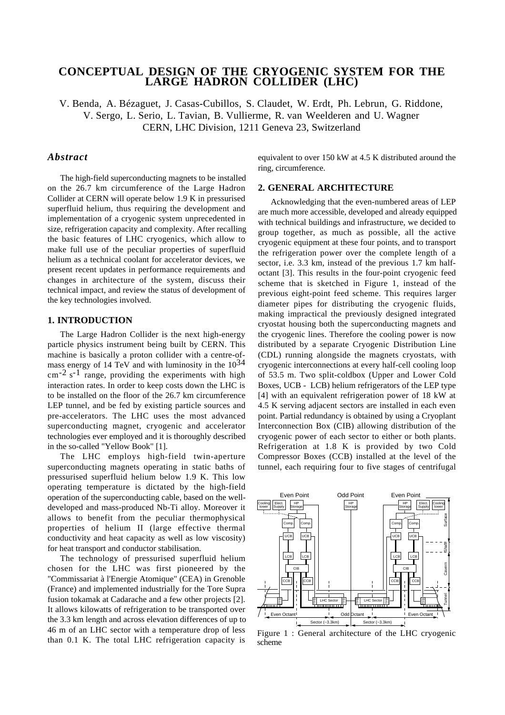# **CONCEPTUAL DESIGN OF THE CRYOGENIC SYSTEM FOR THE LARGE HADRON COLLIDER (LHC)**

V. Benda, A. Bézaguet, J. Casas-Cubillos, S. Claudet, W. Erdt, Ph. Lebrun, G. Riddone, V. Sergo, L. Serio, L. Tavian, B. Vullierme, R. van Weelderen and U. Wagner CERN, LHC Division, 1211 Geneva 23, Switzerland

# *Abstract*

The high-field superconducting magnets to be installed on the 26.7 km circumference of the Large Hadron Collider at CERN will operate below 1.9 K in pressurised superfluid helium, thus requiring the development and implementation of a cryogenic system unprecedented in size, refrigeration capacity and complexity. After recalling the basic features of LHC cryogenics, which allow to make full use of the peculiar properties of superfluid helium as a technical coolant for accelerator devices, we present recent updates in performance requirements and changes in architecture of the system, discuss their technical impact, and review the status of development of the key technologies involved.

# **1. INTRODUCTION**

The Large Hadron Collider is the next high-energy particle physics instrument being built by CERN. This machine is basically a proton collider with a centre-ofmass energy of 14 TeV and with luminosity in the  $10^{34}$  $\text{cm}^{-2}$  s<sup>-1</sup> range, providing the experiments with high interaction rates. In order to keep costs down the LHC is to be installed on the floor of the 26.7 km circumference LEP tunnel, and be fed by existing particle sources and pre-accelerators. The LHC uses the most advanced superconducting magnet, cryogenic and accelerator technologies ever employed and it is thoroughly described in the so-called "Yellow Book" [1].

The LHC employs high-field twin-aperture superconducting magnets operating in static baths of pressurised superfluid helium below 1.9 K. This low operating temperature is dictated by the high-field operation of the superconducting cable, based on the welldeveloped and mass-produced Nb-Ti alloy. Moreover it allows to benefit from the peculiar thermophysical properties of helium II (large effective thermal conductivity and heat capacity as well as low viscosity) for heat transport and conductor stabilisation.

The technology of pressurised superfluid helium chosen for the LHC was first pioneered by the "Commissariat à l'Energie Atomique" (CEA) in Grenoble (France) and implemented industrially for the Tore Supra fusion tokamak at Cadarache and a few other projects [2]. It allows kilowatts of refrigeration to be transported over the 3.3 km length and across elevation differences of up to 46 m of an LHC sector with a temperature drop of less than 0.1 K. The total LHC refrigeration capacity is

equivalent to over 150 kW at 4.5 K distributed around the ring, circumference.

#### **2. GENERAL ARCHITECTURE**

Acknowledging that the even-numbered areas of LEP are much more accessible, developed and already equipped with technical buildings and infrastructure, we decided to group together, as much as possible, all the active cryogenic equipment at these four points, and to transport the refrigeration power over the complete length of a sector, i.e. 3.3 km, instead of the previous 1.7 km halfoctant [3]. This results in the four-point cryogenic feed scheme that is sketched in Figure 1, instead of the previous eight-point feed scheme. This requires larger diameter pipes for distributing the cryogenic fluids, making impractical the previously designed integrated cryostat housing both the superconducting magnets and the cryogenic lines. Therefore the cooling power is now distributed by a separate Cryogenic Distribution Line (CDL) running alongside the magnets cryostats, with cryogenic interconnections at every half-cell cooling loop of 53.5 m. Two split-coldbox (Upper and Lower Cold Boxes, UCB - LCB) helium refrigerators of the LEP type [4] with an equivalent refrigeration power of 18 kW at 4.5 K serving adjacent sectors are installed in each even point. Partial redundancy is obtained by using a Cryoplant Interconnection Box (CIB) allowing distribution of the cryogenic power of each sector to either or both plants. Refrigeration at 1.8 K is provided by two Cold Compressor Boxes (CCB) installed at the level of the tunnel, each requiring four to five stages of centrifugal



Figure 1 : General architecture of the LHC cryogenic scheme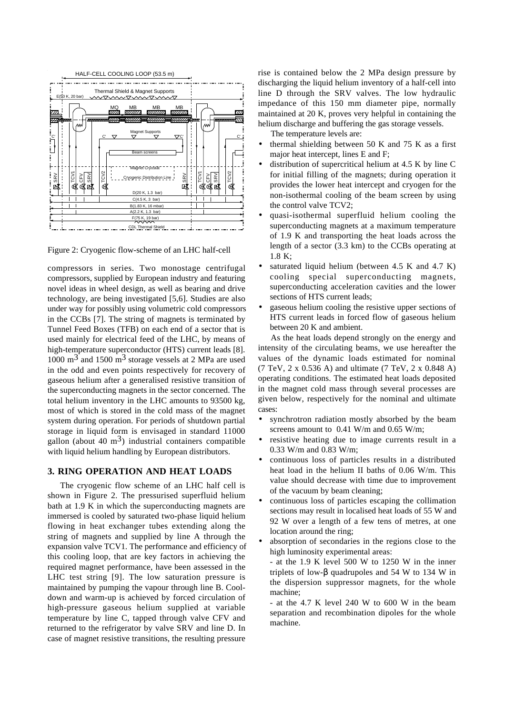

Figure 2: Cryogenic flow-scheme of an LHC half-cell

compressors in series. Two monostage centrifugal compressors, supplied by European industry and featuring novel ideas in wheel design, as well as bearing and drive technology, are being investigated [5,6]. Studies are also under way for possibly using volumetric cold compressors in the CCBs [7]. The string of magnets is terminated by Tunnel Feed Boxes (TFB) on each end of a sector that is used mainly for electrical feed of the LHC, by means of high-temperature superconductor (HTS) current leads [8]. 1000  $\text{m}^3$  and 1500  $\text{m}^3$  storage vessels at 2 MPa are used in the odd and even points respectively for recovery of gaseous helium after a generalised resistive transition of the superconducting magnets in the sector concerned. The total helium inventory in the LHC amounts to 93500 kg, most of which is stored in the cold mass of the magnet system during operation. For periods of shutdown partial storage in liquid form is envisaged in standard 11000 gallon (about 40  $\text{m}^3$ ) industrial containers compatible with liquid helium handling by European distributors.

## **3. RING OPERATION AND HEAT LOADS**

The cryogenic flow scheme of an LHC half cell is shown in Figure 2. The pressurised superfluid helium bath at 1.9 K in which the superconducting magnets are immersed is cooled by saturated two-phase liquid helium flowing in heat exchanger tubes extending along the string of magnets and supplied by line A through the expansion valve TCV1. The performance and efficiency of this cooling loop, that are key factors in achieving the required magnet performance, have been assessed in the LHC test string [9]. The low saturation pressure is maintained by pumping the vapour through line B. Cooldown and warm-up is achieved by forced circulation of high-pressure gaseous helium supplied at variable temperature by line C, tapped through valve CFV and returned to the refrigerator by valve SRV and line D. In case of magnet resistive transitions, the resulting pressure

rise is contained below the 2 MPa design pressure by discharging the liquid helium inventory of a half-cell into line D through the SRV valves. The low hydraulic impedance of this 150 mm diameter pipe, normally maintained at 20 K, proves very helpful in containing the helium discharge and buffering the gas storage vessels.

The temperature levels are:

- thermal shielding between 50 K and 75 K as a first major heat intercept, lines E and F;
- distribution of supercritical helium at 4.5 K by line C for initial filling of the magnets; during operation it provides the lower heat intercept and cryogen for the non-isothermal cooling of the beam screen by using the control valve TCV2;
- quasi-isothermal superfluid helium cooling the superconducting magnets at a maximum temperature of 1.9 K and transporting the heat loads across the length of a sector (3.3 km) to the CCBs operating at 1.8 K;
- saturated liquid helium (between  $4.5$  K and  $4.7$  K) cooling special superconducting magnets, superconducting acceleration cavities and the lower sections of HTS current leads;
- gaseous helium cooling the resistive upper sections of HTS current leads in forced flow of gaseous helium between 20 K and ambient.

As the heat loads depend strongly on the energy and intensity of the circulating beams, we use hereafter the values of the dynamic loads estimated for nominal (7 TeV, 2 x 0.536 A) and ultimate (7 TeV, 2 x 0.848 A) operating conditions. The estimated heat loads deposited in the magnet cold mass through several processes are given below, respectively for the nominal and ultimate cases:

- synchrotron radiation mostly absorbed by the beam screens amount to 0.41 W/m and 0.65 W/m;
- resistive heating due to image currents result in a 0.33 W/m and 0.83 W/m;
- continuous loss of particles results in a distributed heat load in the helium II baths of 0.06 W/m. This value should decrease with time due to improvement of the vacuum by beam cleaning;
- continuous loss of particles escaping the collimation sections may result in localised heat loads of 55 W and 92 W over a length of a few tens of metres, at one location around the ring;
- absorption of secondaries in the regions close to the high luminosity experimental areas:
	- at the 1.9 K level 500 W to 1250 W in the inner triplets of low-β quadrupoles and 54 W to 134 W in the dispersion suppressor magnets, for the whole machine;

- at the 4.7 K level 240 W to 600 W in the beam separation and recombination dipoles for the whole machine.